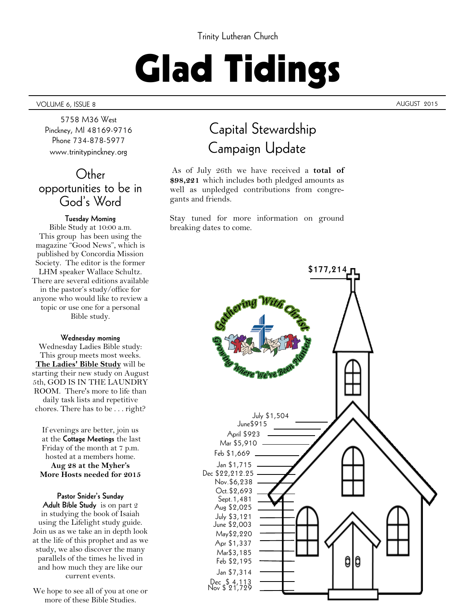#### Trinity Lutheran Church

# Glad Tidings

#### VOLUME 6, ISSUE 8 AUGUST 2015

5758 M36 West Pinckney, MI 48169-9716 Phone 734-878-5977 www.trinitypinckney.org

### Other opportunities to be in God's Word

#### **Tuesday Morning**

Bible Study at 10:00 a.m. This group has been using the magazine "Good News", which is published by Concordia Mission Society. The editor is the former LHM speaker Wallace Schultz. There are several editions available in the pastor's study/office for anyone who would like to review a topic or use one for a personal Bible study.

#### **Wednesday morning**

Wednesday Ladies Bible study: This group meets most weeks. **The Ladies' Bible Study** will be starting their new study on August 5th, GOD IS IN THE LAUNDRY ROOM. There's more to life than daily task lists and repetitive chores. There has to be . . . right?

If evenings are better, join us at the **Cottage Meetings** the last Friday of the month at 7 p.m. hosted at a members home. **Aug 28 at the Myher's More Hosts needed for 2015**

**Pastor Snider's Sunday Adult Bible Study** is on part 2 in studying the book of Isaiah using the Lifelight study guide. Join us as we take an in depth look at the life of this prophet and as we study, we also discover the many parallels of the times he lived in and how much they are like our current events.

We hope to see all of you at one or more of these Bible Studies.

### Capital Stewardship Campaign Update

As of July 26th we have received a **total of \$98,221** which includes both pledged amounts as well as unpledged contributions from congregants and friends.

Stay tuned for more information on ground breaking dates to come.

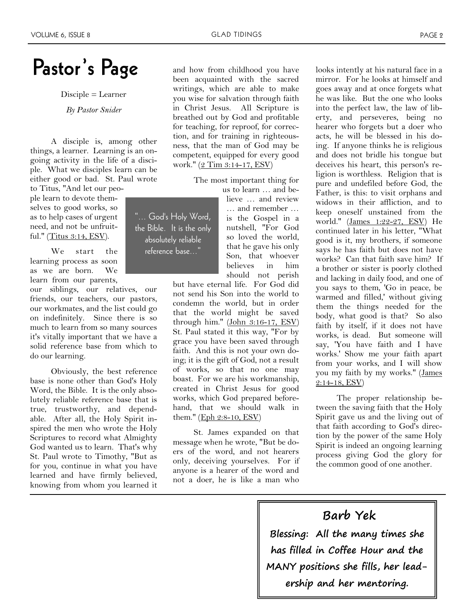### Pastor's Page and how from childhood you have

Disciple = Learner

*By Pastor Snider*

A disciple is, among other things, a learner. Learning is an ongoing activity in the life of a disciple. What we disciples learn can be either good or bad. St. Paul wrote to Titus, "And let our peo-

ple learn to devote themselves to good works, so as to help cases of urgent need, and not be unfruitful." ([Titus 3:14, ESV\).](http://biblia.com/bible/esv/Titus%203.14)

We start the learning process as soon as we are born. We learn from our parents,

our siblings, our relatives, our friends, our teachers, our pastors, our workmates, and the list could go on indefinitely. Since there is so much to learn from so many sources it's vitally important that we have a solid reference base from which to do our learning.

Obviously, the best reference base is none other than God's Holy Word, the Bible. It is the only absolutely reliable reference base that is true, trustworthy, and dependable. After all, the Holy Spirit inspired the men who wrote the Holy Scriptures to record what Almighty God wanted us to learn. That's why St. Paul wrote to Timothy, "But as for you, continue in what you have learned and have firmly believed, knowing from whom you learned it been acquainted with the sacred writings, which are able to make you wise for salvation through faith in Christ Jesus. All Scripture is breathed out by God and profitable for teaching, for reproof, for correction, and for training in righteousness, that the man of God may be competent, equipped for every good work." [\(2 Tim 3:14-17, ESV\)](http://biblia.com/bible/esv/2%20Tim%203.14-17) 

> The most important thing for us to learn … and be-

"... God's Holy Word, the Bible. It is the only absolutely reliable reference base..."

lieve … and review … and remember … is the Gospel in a nutshell, "For God so loved the world, that he gave his only Son, that whoever believes in him should not perish

but have eternal life. For God did not send his Son into the world to condemn the world, but in order that the world might be saved through him." [\(John 3:16-17, ESV\)](http://biblia.com/bible/esv/John%203.16-17) St. Paul stated it this way, "For by grace you have been saved through faith. And this is not your own doing; it is the gift of God, not a result of works, so that no one may boast. For we are his workmanship, created in Christ Jesus for good works, which God prepared beforehand, that we should walk in them." (Eph 2:8-10, ESV)

St. James expanded on that message when he wrote, "But be doers of the word, and not hearers only, deceiving yourselves. For if anyone is a hearer of the word and not a doer, he is like a man who

looks intently at his natural face in a mirror. For he looks at himself and goes away and at once forgets what he was like. But the one who looks into the perfect law, the law of liberty, and perseveres, being no hearer who forgets but a doer who acts, he will be blessed in his doing. If anyone thinks he is religious and does not bridle his tongue but deceives his heart, this person's religion is worthless. Religion that is pure and undefiled before God, the Father, is this: to visit orphans and widows in their affliction, and to keep oneself unstained from the world." [\(James 1:22-27, ESV\)](http://biblia.com/bible/esv/James%201.22-27) He continued later in his letter, "What good is it, my brothers, if someone says he has faith but does not have works? Can that faith save him? If a brother or sister is poorly clothed and lacking in daily food, and one of you says to them, 'Go in peace, be warmed and filled,' without giving them the things needed for the body, what good is that? So also faith by itself, if it does not have works, is dead. But someone will say, 'You have faith and I have works.' Show me your faith apart from your works, and I will show you my faith by my works." ([James](http://biblia.com/bible/esv/James%202.14-18)  [2:14-18, ESV\)](http://biblia.com/bible/esv/James%202.14-18) 

The proper relationship between the saving faith that the Holy Spirit gave us and the living out of that faith according to God's direction by the power of the same Holy Spirit is indeed an ongoing learning process giving God the glory for the common good of one another.

### **Barb Yek**

**Blessing: All the many times she has filled in Coffee Hour and the MANY positions she fills, her leadership and her mentoring.**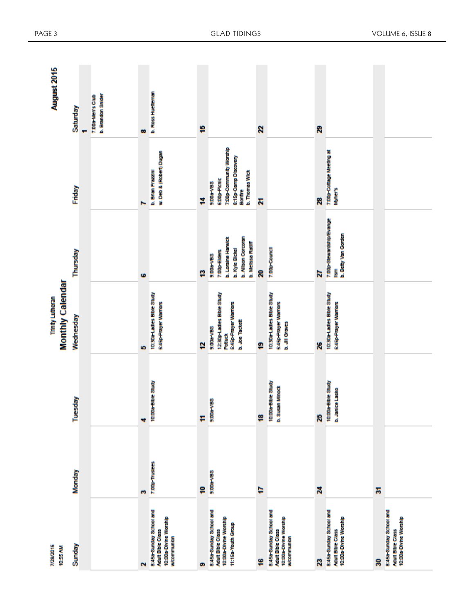| August 2015                          | Saturday  | b. Brandon Snider<br>7:00s-Men's Club |        | b. Ross Huctternan                                                                          |        |                                                                                                              |        |                                                                                             |        |                                                                              |   |                                                                              |
|--------------------------------------|-----------|---------------------------------------|--------|---------------------------------------------------------------------------------------------|--------|--------------------------------------------------------------------------------------------------------------|--------|---------------------------------------------------------------------------------------------|--------|------------------------------------------------------------------------------|---|------------------------------------------------------------------------------|
|                                      | Friday    |                                       | æ<br>N | w. Deb & (Robert) Dugan<br>b. Brian Frazzini                                                | ş<br>ä | 7:00p-Community Worship<br>8:15p-Camp Discovery<br>b. Thomas Wick<br>6:00p-Planic<br>9:00a-VB8<br>Bomfre     | Z<br>Z |                                                                                             | 8<br>æ | 7:00p-Cottage Meeting at<br><b>Myther's</b>                                  |   |                                                                              |
|                                      | Thursday  |                                       | G      |                                                                                             | g      | b. Allson Corcoran<br>b. Loraine Harwick<br>b. Melissa Ratiff<br>b. Kyle Bickel<br>7:00p-Elders<br>9:00a-VB8 | ន      | 7:00p-Council                                                                               | Z      | 7:00p-Stewardship/Evange<br>b. Betty Van Gorden<br>Š                         |   |                                                                              |
| Monthly Calendar<br>Trinity Lutheran | Wednesday |                                       | in,    | 10:30a-Ladies Bible Study<br><b>S:45p-Prayer Warriors</b>                                   | ø      | 12:30p-Ladies Bible Study<br>S:45p-Prayer Warriors<br>b. Joe Tackett<br><b>SBN-400:6</b><br>Poduct           | e      | 10:30a-Ladies Bible Study<br><b>S:45p-Prayer Warriors</b><br>b. JII Graves                  | 26     | 10:30a-Ladies Bible Study<br>S:45p-Prayer Warriors                           |   |                                                                              |
|                                      | Tuesday   |                                       | ÷      | 10:00a-Bloic Study                                                                          | Ŧ      | 9:00a-VB8                                                                                                    | g      | 10:00a-Bible Study<br>b. Susan Minock                                                       | 25     | 10:00a-Bible Study<br>b. Janice Lasko                                        |   |                                                                              |
|                                      | Monday    |                                       | m      | 7:00p-Trustees                                                                              | ş      | 9:00a-VB8                                                                                                    | Þ      |                                                                                             | ×      |                                                                              | 됽 |                                                                              |
| 7/28/2015<br>10:55 AM                | Sunday    |                                       | Ñ      | 8:45a-Bunday School and<br>10:00a-Divine Worship<br><b>Adult Bible Class</b><br>wicommunion | ø      | 8:45a-Bunday School and<br>10:00a-Divine Worship<br>11:15a-Youth Group<br><b>Adult Bible Class</b>           | ¥      | 8:45a-Bunday School and<br>10:00a-Divine Worship<br><b>Adult Bible Class</b><br>wicommunion | R      | 8:45a-Bunday School and<br>10:00a-Divine Worship<br><b>Adult Bible Class</b> | g | 8:45a-Bunday School and<br>10:00a-Divine Worship<br><b>Adult Bible Class</b> |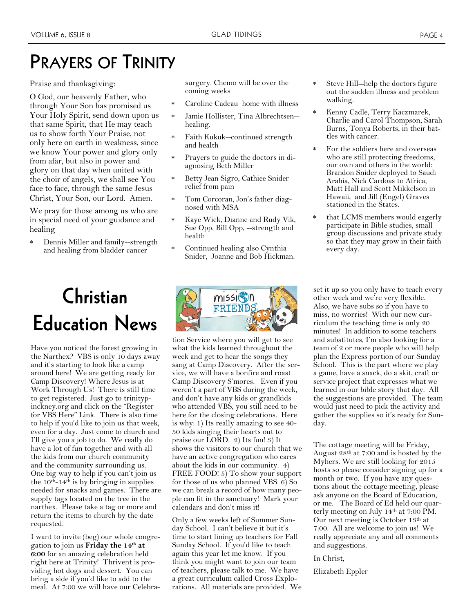### **PRAYERS OF TRINITY**

Praise and thanksgiving:

O God, our heavenly Father, who through Your Son has promised us Your Holy Spirit, send down upon us that same Spirit, that He may teach us to show forth Your Praise, not only here on earth in weakness, since we know Your power and glory only from afar, but also in power and glory on that day when united with the choir of angels, we shall see You face to face, through the same Jesus Christ, Your Son, our Lord. Amen.

We pray for those among us who are in special need of your guidance and healing

 Dennis Miller and family--strength and healing from bladder cancer

## **Christian Education News**

Have you noticed the forest growing in the Narthex? VBS is only 10 days away and it's starting to look like a camp around here! We are getting ready for Camp Discovery! Where Jesus is at Work Through Us! There is still time to get registered. Just go to trinitypinckney.org and click on the "Register for VBS Here" Link. There is also time to help if you'd like to join us that week, even for a day. Just come to church and I'll give you a job to do. We really do have a lot of fun together and with all the kids from our church community and the community surrounding us. One big way to help if you can't join us the  $10^{th}$ -14<sup>th</sup> is by bringing in supplies needed for snacks and games. There are supply tags located on the tree in the narthex. Please take a tag or more and return the items to church by the date requested.

I want to invite (beg) our whole congregation to join us **Friday the 14th at 6:00** for an amazing celebration held right here at Trinity! Thrivent is providing hot dogs and dessert. You can bring a side if you'd like to add to the meal. At 7:00 we will have our Celebrasurgery. Chemo will be over the coming weeks

- Caroline Cadeau home with illness
- Jamie Hollister, Tina Albrechtsen- healing.
- Faith Kukuk--continued strength and health
- Prayers to guide the doctors in diagnosing Beth Miller
- Betty Jean Sigro, Cathiee Snider relief from pain
- Tom Corcoran, Jon's father diagnosed with MSA
- Kaye Wick, Dianne and Rudy Vik, Sue Opp, Bill Opp, --strength and health
- Continued healing also Cynthia Snider, Joanne and Bob Hickman.



tion Service where you will get to see what the kids learned throughout the week and get to hear the songs they sang at Camp Discovery. After the service, we will have a bonfire and roast Camp Discovery S'mores. Even if you weren't a part of VBS during the week, and don't have any kids or grandkids who attended VBS, you still need to be here for the closing celebrations. Here is why: 1) Its really amazing to see 40- 50 kids singing their hearts out to praise our LORD. 2) Its fun! 3) It shows the visitors to our church that we have an active congregation who cares about the kids in our community. 4) FREE FOOD! 5) To show your support for those of us who planned VBS. 6) So we can break a record of how many people can fit in the sanctuary! Mark your calendars and don't miss it!

Only a few weeks left of Summer Sunday School. I can't believe it but it's time to start lining up teachers for Fall Sunday School. If you'd like to teach again this year let me know. If you think you might want to join our team of teachers, please talk to me. We have a great curriculum called Cross Explorations. All materials are provided. We

- Steve Hill--help the doctors figure out the sudden illness and problem walking.
- Kenny Cadle, Terry Kaczmarek, Charlie and Carol Thompson, Sarah Burns, Tonya Roberts, in their battles with cancer.
- For the soldiers here and overseas who are still protecting freedoms, our own and others in the world: Brandon Snider deployed to Saudi Arabia, Nick Cardoas to Africa, Matt Hall and Scott Mikkelson in Hawaii, and Jill (Engel) Graves stationed in the States.
- \* that LCMS members would eagerly participate in Bible studies, small group discussions and private study so that they may grow in their faith every day.

set it up so you only have to teach every other week and we're very flexible. Also, we have subs so if you have to miss, no worries! With our new curriculum the teaching time is only 20 minutes! In addition to some teachers and substitutes, I'm also looking for a team of 2 or more people who will help plan the Express portion of our Sunday School. This is the part where we play a game, have a snack, do a skit, craft or service project that expresses what we learned in our bible story that day. All the suggestions are provided. The team would just need to pick the activity and gather the supplies so it's ready for Sunday.

The cottage meeting will be Friday, August 28th at 7:00 and is hosted by the Myhers. We are still looking for 2015 hosts so please consider signing up for a month or two. If you have any questions about the cottage meeting, please ask anyone on the Board of Education, or me. The Board of Ed held our quarterly meeting on July 14th at 7:00 PM. Our next meeting is October 13th at 7:00. All are welcome to join us! We really appreciate any and all comments and suggestions.

#### In Christ,

Elizabeth Eppler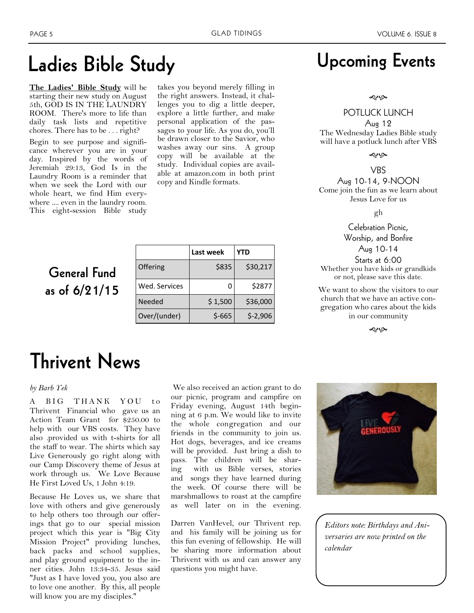### **Ladies Bible Study**

**The Ladies' Bible Study** will be starting their new study on August 5th, GOD IS IN THE LAUNDRY ROOM. There's more to life than daily task lists and repetitive chores. There has to be . . . right?

Begin to see purpose and significance wherever you are in your day. Inspired by the words of Jeremiah 29:13, God Is in the Laundry Room is a reminder that when we seek the Lord with our whole heart, we find Him everywhere .... even in the laundry room. This eight-session Bible study

takes you beyond merely filling in the right answers. Instead, it challenges you to dig a little deeper, explore a little further, and make personal application of the passages to your life. As you do, you'll be drawn closer to the Savior, who washes away our sins. A group copy will be available at the study. Individual copies are available at amazon.com in both print copy and Kindle formats.

### **General Fund as of 6/21/15**

|               | Last week | YTD       |
|---------------|-----------|-----------|
| Offering      | \$835     | \$30,217  |
| Wed. Services |           | \$2877    |
| Needed        | \$1,500   | \$36,000  |
| Over/(under)  | $$-665$   | $$-2,906$ |

### **Upcoming Events**

#### حبابه

#### POTLUCK LUNCH

Aug 12 The Wednesday Ladies Bible study will have a potluck lunch after VBS

موبهه

VBS

Aug 10-14, 9-NOON Come join the fun as we learn about Jesus Love for us

gh

Celebration Picnic, Worship, and Bonfire Aug 10-14

Starts at 6:00 Whether you have kids or grandkids or not, please save this date.

We want to show the visitors to our church that we have an active congregation who cares about the kids in our community

موبهه

### **Thrivent News**

#### *by Barb Yek*

A BIG THANK YOU to Thrivent Financial who gave us an Action Team Grant for \$250.00 to help with our VBS costs. They have also .provided us with t-shirts for all the staff to wear. The shirts which say Live Generously go right along with our Camp Discovery theme of Jesus at work through us. We Love Because He First Loved Us, 1 John 4:19.

Because He Loves us, we share that love with others and give generously to help others too through our offerings that go to our special mission project which this year is "Big City Mission Project" providing lunches, back packs and school supplies, and play ground equipment to the inner cities. John 13:34-35. Jesus said "Just as I have loved you, you also are to love one another. By this, all people will know you are my disciples."

We also received an action grant to do our picnic, program and campfire on Friday evening, August 14th beginning at 6 p.m. We would like to invite the whole congregation and our friends in the community to join us. Hot dogs, beverages, and ice creams will be provided. Just bring a dish to pass. The children will be sharing with us Bible verses, stories and songs they have learned during the week. Of course there will be marshmallows to roast at the campfire as well later on in the evening.

Darren VanHevel, our Thrivent rep. and his family will be joining us for this fun evening of fellowship. He will be sharing more information about Thrivent with us and can answer any questions you might have.



*Editors note: Birthdays and Aniversaries are now printed on the calendar*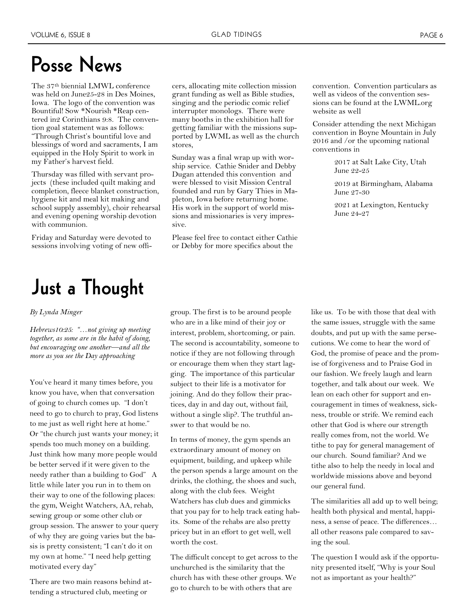### **Posse News**

The 37th biennial LMWL conference was held on June25-28 in Des Moines, Iowa. The logo of the convention was Bountiful! Sow \*Nourish \*Reap centered in2 Corinthians 9:8. The convention goal statement was as follows: "Through Christ's bountiful love and blessings of word and sacraments, I am equipped in the Holy Spirit to work in my Father's harvest field.

Thursday was filled with servant projects (these included quilt making and completion, fleece blanket construction, hygiene kit and meal kit making and school supply assembly), choir rehearsal and evening opening worship devotion with communion.

Friday and Saturday were devoted to sessions involving voting of new offi-

### **Just a Thought**

#### *By Lynda Minger*

*Hebrews10:25: "…not giving up meeting together, as some are in the habit of doing, but encouraging one another—and all the more as you see the Day approaching*

You've heard it many times before, you know you have, when that conversation of going to church comes up. "I don't need to go to church to pray, God listens to me just as well right here at home." Or "the church just wants your money; it spends too much money on a building. Just think how many more people would be better served if it were given to the needy rather than a building to God" A little while later you run in to them on their way to one of the following places: the gym, Weight Watchers, AA, rehab, sewing group or some other club or group session. The answer to your query of why they are going varies but the basis is pretty consistent; "I can't do it on my own at home." "I need help getting motivated every day"

There are two main reasons behind attending a structured club, meeting or

cers, allocating mite collection mission grant funding as well as Bible studies, singing and the periodic comic relief interrupter monologs. There were many booths in the exhibition hall for getting familiar with the missions supported by LWML as well as the church stores,

Sunday was a final wrap up with worship service. Cathie Snider and Debby Dugan attended this convention and were blessed to visit Mission Central founded and run by Gary Thies in Mapleton, Iowa before returning home. His work in the support of world missions and missionaries is very impressive.

Please feel free to contact either Cathie or Debby for more specifics about the

convention. Convention particulars as well as videos of the convention sessions can be found at the LWML.org website as well

Consider attending the next Michigan convention in Boyne Mountain in July 2016 and /or the upcoming national conventions in

> 2017 at Salt Lake City, Utah June 22-25

2019 at Birmingham, Alabama June 27-30

2021 at Lexington, Kentucky June 24-27

group. The first is to be around people who are in a like mind of their joy or interest, problem, shortcoming, or pain. The second is accountability, someone to notice if they are not following through or encourage them when they start lagging. The importance of this particular subject to their life is a motivator for joining. And do they follow their practices, day in and day out, without fail, without a single slip?. The truthful answer to that would be no.

In terms of money, the gym spends an extraordinary amount of money on equipment, building, and upkeep while the person spends a large amount on the drinks, the clothing, the shoes and such, along with the club fees. Weight Watchers has club dues and gimmicks that you pay for to help track eating habits. Some of the rehabs are also pretty pricey but in an effort to get well, well worth the cost.

The difficult concept to get across to the unchurched is the similarity that the church has with these other groups. We go to church to be with others that are

like us. To be with those that deal with the same issues, struggle with the same doubts, and put up with the same persecutions. We come to hear the word of God, the promise of peace and the promise of forgiveness and to Praise God in our fashion. We freely laugh and learn together, and talk about our week. We lean on each other for support and encouragement in times of weakness, sickness, trouble or strife. We remind each other that God is where our strength really comes from, not the world. We tithe to pay for general management of our church. Sound familiar? And we tithe also to help the needy in local and worldwide missions above and beyond our general fund.

The similarities all add up to well being; health both physical and mental, happiness, a sense of peace. The differences… all other reasons pale compared to saving the soul.

The question I would ask if the opportunity presented itself, "Why is your Soul not as important as your health?"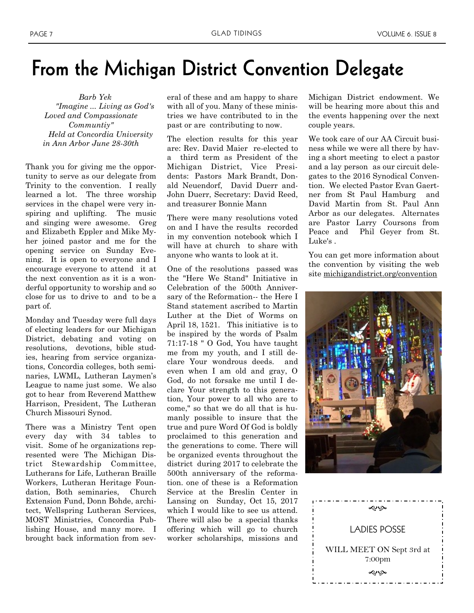### **From the Michigan District Convention Delegate**

 *Barb Yek "Imagine ... Living as God's Loved and Compassionate Communtiy" Held at Concordia University in Ann Arbor June 28-30th*

Thank you for giving me the opportunity to serve as our delegate from Trinity to the convention. I really learned a lot. The three worship services in the chapel were very inspiring and uplifting. The music and singing were awesome. Greg and Elizabeth Eppler and Mike Myher joined pastor and me for the opening service on Sunday Evening. It is open to everyone and I encourage everyone to attend it at the next convention as it is a wonderful opportunity to worship and so close for us to drive to and to be a part of.

Monday and Tuesday were full days of electing leaders for our Michigan District, debating and voting on resolutions, devotions, bible studies, hearing from service organizations, Concordia colleges, both seminaries, LWML, Lutheran Laymen's League to name just some. We also got to hear from Reverend Matthew Harrison, President, The Lutheran Church Missouri Synod.

There was a Ministry Tent open every day with 34 tables to visit. Some of he organizations represented were The Michigan District Stewardship Committee, Lutherans for Life, Lutheran Braille Workers, Lutheran Heritage Foundation, Both seminaries, Church Extension Fund, Donn Bohde, architect, Wellspring Lutheran Services, MOST Ministries, Concordia Publishing House, and many more. I brought back information from several of these and am happy to share with all of you. Many of these ministries we have contributed to in the past or are contributing to now.

The election results for this year are: Rev. David Maier re-elected to a third term as President of the Michigan District, Vice Presidents: Pastors Mark Brandt, Donald Neuendorf, David Duerr and-John Duerr, Secretary: David Reed, and treasurer Bonnie Mann

There were many resolutions voted on and I have the results recorded in my convention notebook which I will have at church to share with anyone who wants to look at it.

One of the resolutions passed was the "Here We Stand" Initiative in Celebration of the 500th Anniversary of the Reformation-- the Here I Stand statement ascribed to Martin Luther at the Diet of Worms on April 18, 1521. This initiative is to be inspired by the words of Psalm 71:17-18 " O God, You have taught me from my youth, and I still declare Your wondrous deeds. and even when I am old and gray, O God, do not forsake me until I declare Your strength to this generation, Your power to all who are to come," so that we do all that is humanly possible to insure that the true and pure Word Of God is boldly proclaimed to this generation and the generations to come. There will be organized events throughout the district during 2017 to celebrate the 500th anniversary of the reformation. one of these is a Reformation Service at the Breslin Center in Lansing on Sunday, Oct 15, 2017 which I would like to see us attend. There will also be a special thanks offering which will go to church worker scholarships, missions and

Michigan District endowment. We will be hearing more about this and the events happening over the next couple years.

We took care of our AA Circuit business while we were all there by having a short meeting to elect a pastor and a lay person as our circuit delegates to the 2016 Synodical Convention. We elected Pastor Evan Gaertner from St Paul Hamburg and David Martin from St. Paul Ann Arbor as our delegates. Alternates are Pastor Larry Coursons from Peace and Phil Geyer from St. Luke's .

You can get more information about the convention by visiting the web site [michigandistrict.org/convention](http://michigandistrict.org/convention)